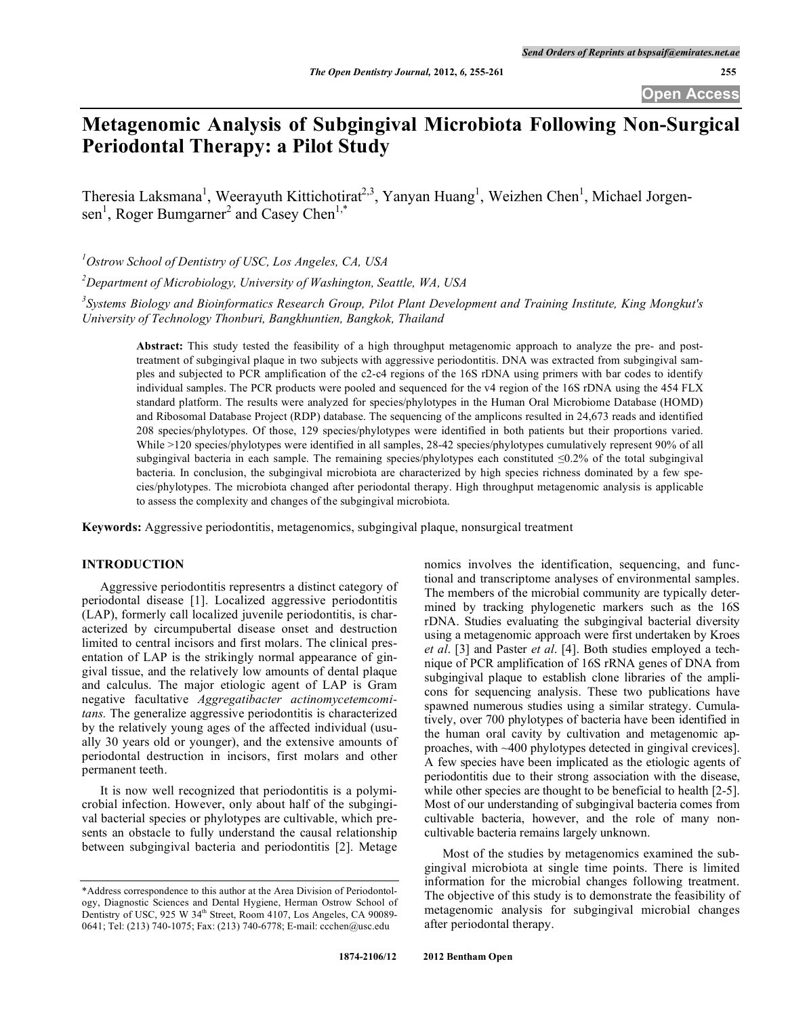**Open Access**

# **Metagenomic Analysis of Subgingival Microbiota Following Non-Surgical Periodontal Therapy: a Pilot Study**

Theresia Laksmana<sup>1</sup>, Weerayuth Kittichotirat<sup>2,3</sup>, Yanyan Huang<sup>1</sup>, Weizhen Chen<sup>1</sup>, Michael Jorgensen<sup>1</sup>, Roger Bumgarner<sup>2</sup> and Casey Chen<sup>1,\*</sup>

*1 Ostrow School of Dentistry of USC, Los Angeles, CA, USA*

*2 Department of Microbiology, University of Washington, Seattle, WA, USA*

*3 Systems Biology and Bioinformatics Research Group, Pilot Plant Development and Training Institute, King Mongkut's University of Technology Thonburi, Bangkhuntien, Bangkok, Thailand*

**Abstract:** This study tested the feasibility of a high throughput metagenomic approach to analyze the pre- and posttreatment of subgingival plaque in two subjects with aggressive periodontitis. DNA was extracted from subgingival samples and subjected to PCR amplification of the c2-c4 regions of the 16S rDNA using primers with bar codes to identify individual samples. The PCR products were pooled and sequenced for the v4 region of the 16S rDNA using the 454 FLX standard platform. The results were analyzed for species/phylotypes in the Human Oral Microbiome Database (HOMD) and Ribosomal Database Project (RDP) database. The sequencing of the amplicons resulted in 24,673 reads and identified 208 species/phylotypes. Of those, 129 species/phylotypes were identified in both patients but their proportions varied. While >120 species/phylotypes were identified in all samples, 28-42 species/phylotypes cumulatively represent 90% of all subgingival bacteria in each sample. The remaining species/phylotypes each constituted ≤0.2% of the total subgingival bacteria. In conclusion, the subgingival microbiota are characterized by high species richness dominated by a few species/phylotypes. The microbiota changed after periodontal therapy. High throughput metagenomic analysis is applicable to assess the complexity and changes of the subgingival microbiota.

**Keywords:** Aggressive periodontitis, metagenomics, subgingival plaque, nonsurgical treatment

# **INTRODUCTION**

Aggressive periodontitis representrs a distinct category of periodontal disease [1]. Localized aggressive periodontitis (LAP), formerly call localized juvenile periodontitis, is characterized by circumpubertal disease onset and destruction limited to central incisors and first molars. The clinical presentation of LAP is the strikingly normal appearance of gingival tissue, and the relatively low amounts of dental plaque and calculus. The major etiologic agent of LAP is Gram negative facultative *Aggregatibacter actinomycetemcomitans.* The generalize aggressive periodontitis is characterized by the relatively young ages of the affected individual (usually 30 years old or younger), and the extensive amounts of periodontal destruction in incisors, first molars and other permanent teeth.

It is now well recognized that periodontitis is a polymicrobial infection. However, only about half of the subgingival bacterial species or phylotypes are cultivable, which presents an obstacle to fully understand the causal relationship between subgingival bacteria and periodontitis [2]. Metage nomics involves the identification, sequencing, and functional and transcriptome analyses of environmental samples. The members of the microbial community are typically determined by tracking phylogenetic markers such as the 16S rDNA. Studies evaluating the subgingival bacterial diversity using a metagenomic approach were first undertaken by Kroes *et al*. [3] and Paster *et al*. [4]. Both studies employed a technique of PCR amplification of 16S rRNA genes of DNA from subgingival plaque to establish clone libraries of the amplicons for sequencing analysis. These two publications have spawned numerous studies using a similar strategy. Cumulatively, over 700 phylotypes of bacteria have been identified in the human oral cavity by cultivation and metagenomic approaches, with ~400 phylotypes detected in gingival crevices]. A few species have been implicated as the etiologic agents of periodontitis due to their strong association with the disease, while other species are thought to be beneficial to health [2-5]. Most of our understanding of subgingival bacteria comes from cultivable bacteria, however, and the role of many noncultivable bacteria remains largely unknown.

Most of the studies by metagenomics examined the subgingival microbiota at single time points. There is limited information for the microbial changes following treatment. The objective of this study is to demonstrate the feasibility of metagenomic analysis for subgingival microbial changes after periodontal therapy.

<sup>\*</sup>Address correspondence to this author at the Area Division of Periodontology, Diagnostic Sciences and Dental Hygiene, Herman Ostrow School of Dentistry of USC, 925 W 34<sup>th</sup> Street, Room 4107, Los Angeles, CA 90089-0641; Tel: (213) 740-1075; Fax: (213) 740-6778; E-mail: ccchen@usc.edu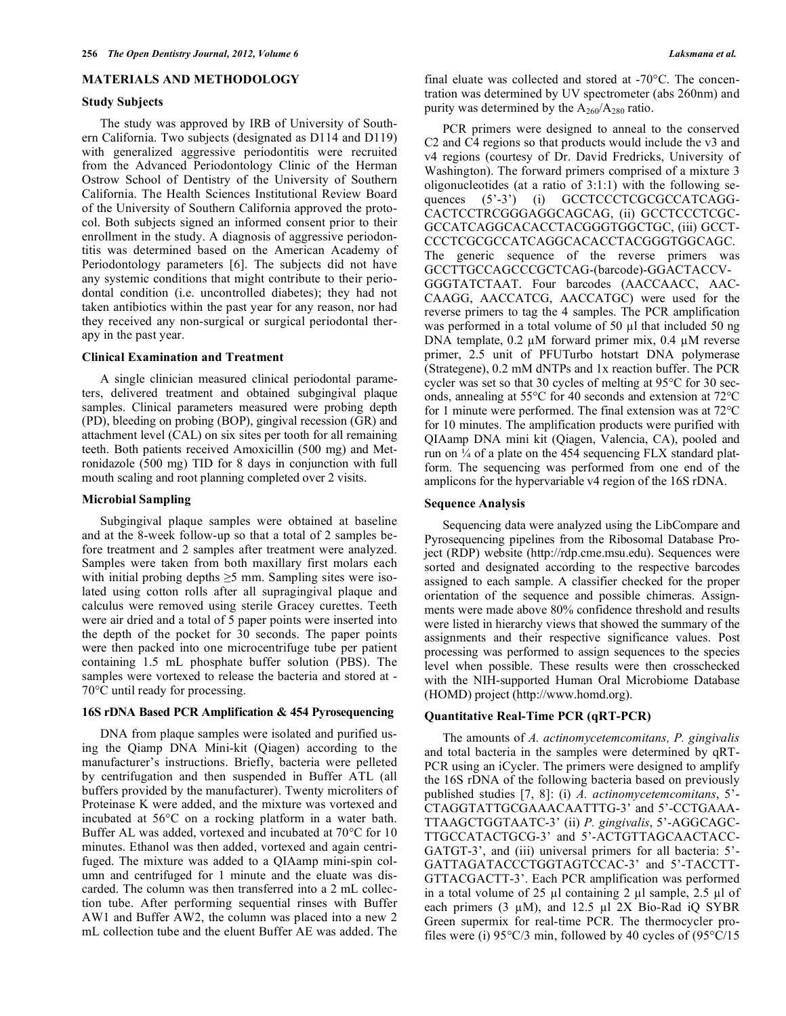# **MATERIALS AND METHODOLOGY**

#### **Study Subjects**

The study was approved by IRB of University of Southern California. Two subjects (designated as D114 and D119) with generalized aggressive periodontitis were recruited from the Advanced Periodontology Clinic of the Herman Ostrow School of Dentistry of the University of Southern California. The Health Sciences Institutional Review Board of the University of Southern California approved the protocol. Both subjects signed an informed consent prior to their enrollment in the study. A diagnosis of aggressive periodontitis was determined based on the American Academy of Periodontology parameters [6]. The subjects did not have any systemic conditions that might contribute to their periodontal condition (i.e. uncontrolled diabetes); they had not taken antibiotics within the past year for any reason, nor had they received any non-surgical or surgical periodontal therapy in the past year.

## **Clinical Examination and Treatment**

A single clinician measured clinical periodontal parameters, delivered treatment and obtained subgingival plaque samples. Clinical parameters measured were probing depth (PD), bleeding on probing (BOP), gingival recession (GR) and attachment level (CAL) on six sites per tooth for all remaining teeth. Both patients received Amoxicillin (500 mg) and Metronidazole (500 mg) TID for 8 days in conjunction with full mouth scaling and root planning completed over 2 visits.

#### **Microbial Sampling**

Subgingival plaque samples were obtained at baseline and at the 8-week follow-up so that a total of 2 samples before treatment and 2 samples after treatment were analyzed. Samples were taken from both maxillary first molars each with initial probing depths  $\geq$ 5 mm. Sampling sites were isolated using cotton rolls after all supragingival plaque and calculus were removed using sterile Gracey curettes. Teeth were air dried and a total of 5 paper points were inserted into the depth of the pocket for 30 seconds. The paper points were then packed into one microcentrifuge tube per patient containing 1.5 mL phosphate buffer solution (PBS). The samples were vortexed to release the bacteria and stored at - 70°C until ready for processing.

# **16S rDNA Based PCR Amplification & 454 Pyrosequencing**

DNA from plaque samples were isolated and purified using the Qiamp DNA Mini-kit (Qiagen) according to the manufacturer's instructions. Briefly, bacteria were pelleted by centrifugation and then suspended in Buffer ATL (all buffers provided by the manufacturer). Twenty microliters of Proteinase K were added, and the mixture was vortexed and incubated at 56°C on a rocking platform in a water bath. Buffer AL was added, vortexed and incubated at 70°C for 10 minutes. Ethanol was then added, vortexed and again centrifuged. The mixture was added to a QIAamp mini-spin column and centrifuged for 1 minute and the eluate was discarded. The column was then transferred into a 2 mL collection tube. After performing sequential rinses with Buffer AW1 and Buffer AW2, the column was placed into a new 2 mL collection tube and the eluent Buffer AE was added. The

final eluate was collected and stored at -70°C. The concentration was determined by UV spectrometer (abs 260nm) and purity was determined by the  $A_{260}/A_{280}$  ratio.

PCR primers were designed to anneal to the conserved C2 and C4 regions so that products would include the v3 and v4 regions (courtesy of Dr. David Fredricks, University of Washington). The forward primers comprised of a mixture 3 oligonucleotides (at a ratio of 3:1:1) with the following sequences (5'-3') (i) GCCTCCCTCGCGCCATCAGG-CACTCCTRCGGGAGGCAGCAG, (ii) GCCTCCCTCGC-GCCATCAGGCACACCTACGGGTGGCTGC, (iii) GCCT-CCCTCGCGCCATCAGGCACACCTACGGGTGGCAGC. The generic sequence of the reverse primers was GCCTTGCCAGCCCGCTCAG-(barcode)-GGACTACCV-GGGTATCTAAT. Four barcodes (AACCAACC, AAC-CAAGG, AACCATCG, AACCATGC) were used for the reverse primers to tag the 4 samples. The PCR amplification was performed in a total volume of 50  $\mu$ l that included 50 ng DNA template, 0.2 µM forward primer mix, 0.4 µM reverse primer, 2.5 unit of PFUTurbo hotstart DNA polymerase (Strategene), 0.2 mM dNTPs and 1x reaction buffer. The PCR cycler was set so that 30 cycles of melting at 95°C for 30 seconds, annealing at 55°C for 40 seconds and extension at 72°C for 1 minute were performed. The final extension was at 72°C for 10 minutes. The amplification products were purified with QIAamp DNA mini kit (Qiagen, Valencia, CA), pooled and run on ¼ of a plate on the 454 sequencing FLX standard platform. The sequencing was performed from one end of the amplicons for the hypervariable v4 region of the 16S rDNA.

#### **Sequence Analysis**

Sequencing data were analyzed using the LibCompare and Pyrosequencing pipelines from the Ribosomal Database Project (RDP) website (http://rdp.cme.msu.edu). Sequences were sorted and designated according to the respective barcodes assigned to each sample. A classifier checked for the proper orientation of the sequence and possible chimeras. Assignments were made above 80% confidence threshold and results were listed in hierarchy views that showed the summary of the assignments and their respective significance values. Post processing was performed to assign sequences to the species level when possible. These results were then crosschecked with the NIH-supported Human Oral Microbiome Database (HOMD) project (http://www.homd.org).

#### **Quantitative Real-Time PCR (qRT-PCR)**

The amounts of *A. actinomycetemcomitans, P. gingivalis* and total bacteria in the samples were determined by qRT-PCR using an iCycler. The primers were designed to amplify the 16S rDNA of the following bacteria based on previously published studies [7, 8]: (i) *A. actinomycetemcomitans*, 5'- CTAGGTATTGCGAAACAATTTG-3' and 5'-CCTGAAA-TTAAGCTGGTAATC-3' (ii) *P. gingivalis*, 5'-AGGCAGC-TTGCCATACTGCG-3' and 5'-ACTGTTAGCAACTACC-GATGT-3', and (iii) universal primers for all bacteria: 5'- GATTAGATACCCTGGTAGTCCAC-3' and 5'-TACCTT-GTTACGACTT-3'. Each PCR amplification was performed in a total volume of 25 µl containing 2 µl sample, 2.5 µl of each primers (3  $\mu$ M), and 12.5  $\mu$ l 2X Bio-Rad iQ SYBR Green supermix for real-time PCR. The thermocycler profiles were (i)  $95^{\circ}C/3$  min, followed by 40 cycles of  $(95^{\circ}C/15)$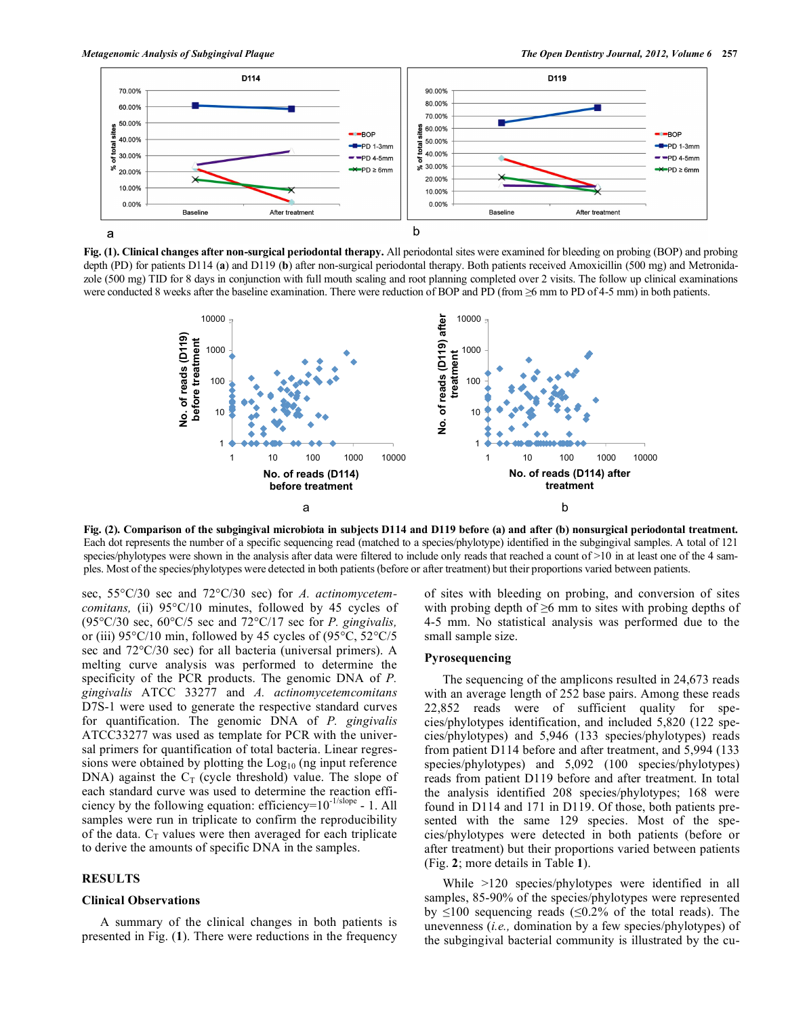

**Fig. (1). Clinical changes after non-surgical periodontal therapy.** All periodontal sites were examined for bleeding on probing (BOP) and probing depth (PD) for patients D114 (**a**) and D119 (**b**) after non-surgical periodontal therapy. Both patients received Amoxicillin (500 mg) and Metronidazole (500 mg) TID for 8 days in conjunction with full mouth scaling and root planning completed over 2 visits. The follow up clinical examinations were conducted 8 weeks after the baseline examination. There were reduction of BOP and PD (from ≥6 mm to PD of 4-5 mm) in both patients.



**Fig. (2). Comparison of the subgingival microbiota in subjects D114 and D119 before (a) and after (b) nonsurgical periodontal treatment.** Each dot represents the number of a specific sequencing read (matched to a species/phylotype) identified in the subgingival samples. A total of 121 species/phylotypes were shown in the analysis after data were filtered to include only reads that reached a count of >10 in at least one of the 4 samples. Most of the species/phylotypes were detected in both patients (before or after treatment) but their proportions varied between patients.

sec, 55°C/30 sec and 72°C/30 sec) for *A. actinomycetemcomitans,* (ii) 95°C/10 minutes, followed by 45 cycles of (95°C/30 sec, 60°C/5 sec and 72°C/17 sec for *P. gingivalis,*  or (iii) 95°C/10 min, followed by 45 cycles of (95°C, 52°C/5 sec and 72°C/30 sec) for all bacteria (universal primers). A melting curve analysis was performed to determine the specificity of the PCR products. The genomic DNA of *P. gingivalis* ATCC 33277 and *A. actinomycetemcomitans*  D7S-1 were used to generate the respective standard curves for quantification. The genomic DNA of *P. gingivalis*  ATCC33277 was used as template for PCR with the universal primers for quantification of total bacteria. Linear regressions were obtained by plotting the  $Log<sub>10</sub>$  (ng input reference DNA) against the  $C_T$  (cycle threshold) value. The slope of each standard curve was used to determine the reaction efficiency by the following equation: efficiency=10-1/slope - 1. All samples were run in triplicate to confirm the reproducibility of the data.  $C_T$  values were then averaged for each triplicate to derive the amounts of specific DNA in the samples.

# **RESULTS**

#### **Clinical Observations**

A summary of the clinical changes in both patients is presented in Fig. (**1**). There were reductions in the frequency of sites with bleeding on probing, and conversion of sites with probing depth of  $\geq 6$  mm to sites with probing depths of 4-5 mm. No statistical analysis was performed due to the small sample size.

# **Pyrosequencing**

The sequencing of the amplicons resulted in 24,673 reads with an average length of 252 base pairs. Among these reads 22,852 reads were of sufficient quality for species/phylotypes identification, and included 5,820 (122 species/phylotypes) and 5,946 (133 species/phylotypes) reads from patient D114 before and after treatment, and 5,994 (133 species/phylotypes) and 5,092 (100 species/phylotypes) reads from patient D119 before and after treatment. In total the analysis identified 208 species/phylotypes; 168 were found in D114 and 171 in D119. Of those, both patients presented with the same 129 species. Most of the species/phylotypes were detected in both patients (before or after treatment) but their proportions varied between patients (Fig. **2**; more details in Table **1**).

While >120 species/phylotypes were identified in all samples, 85-90% of the species/phylotypes were represented by  $\leq 100$  sequencing reads ( $\leq 0.2\%$  of the total reads). The unevenness (*i.e.,* domination by a few species/phylotypes) of the subgingival bacterial community is illustrated by the cu-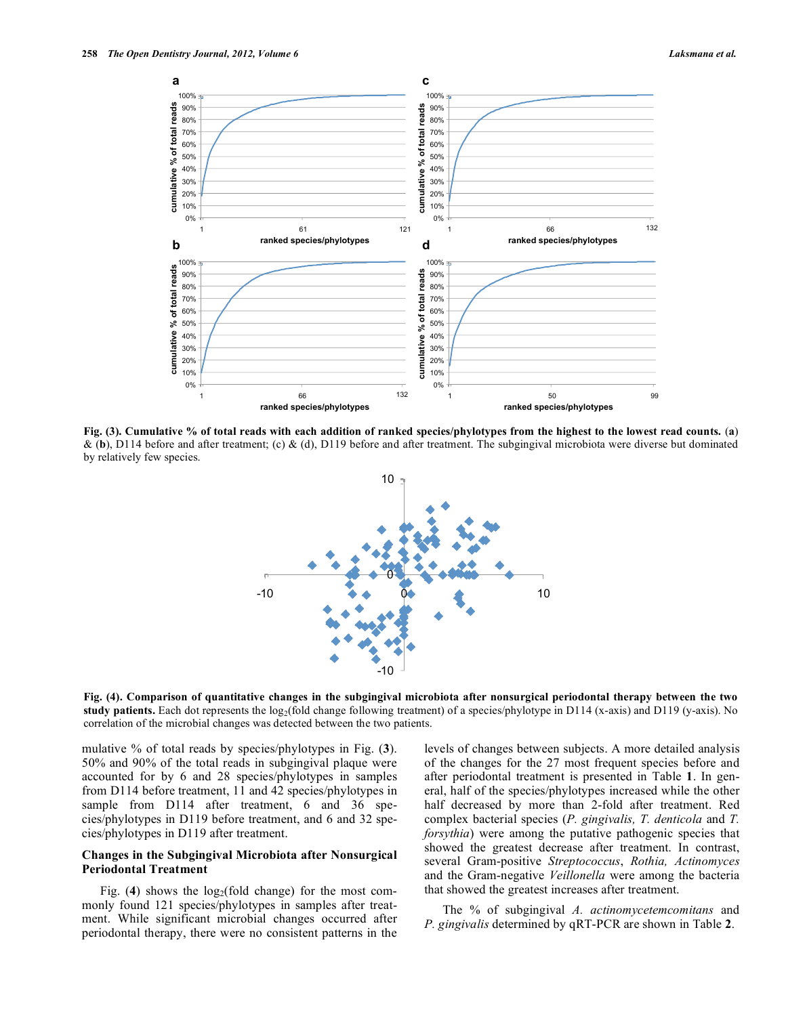

**Fig. (3). Cumulative % of total reads with each addition of ranked species/phylotypes from the highest to the lowest read counts.** (**a**) & (**b**), D114 before and after treatment; (c) & (d), D119 before and after treatment. The subgingival microbiota were diverse but dominated by relatively few species.



**Fig. (4). Comparison of quantitative changes in the subgingival microbiota after nonsurgical periodontal therapy between the two**  study patients. Each dot represents the log<sub>2</sub>(fold change following treatment) of a species/phylotype in D114 (x-axis) and D119 (y-axis). No

mulative % of total reads by species/phylotypes in Fig. (**3**). 50% and 90% of the total reads in subgingival plaque were accounted for by 6 and 28 species/phylotypes in samples from D114 before treatment, 11 and 42 species/phylotypes in sample from D114 after treatment, 6 and 36 species/phylotypes in D119 before treatment, and 6 and 32 species/phylotypes in D119 after treatment.

# **Changes in the Subgingival Microbiota after Nonsurgical Periodontal Treatment**

Fig. (4) shows the  $log_2(fold$  change) for the most commonly found 121 species/phylotypes in samples after treatment. While significant microbial changes occurred after periodontal therapy, there were no consistent patterns in the

levels of changes between subjects. A more detailed analysis of the changes for the 27 most frequent species before and after periodontal treatment is presented in Table **1**. In general, half of the species/phylotypes increased while the other half decreased by more than 2-fold after treatment. Red complex bacterial species (*P. gingivalis, T. denticola* and *T. forsythia*) were among the putative pathogenic species that showed the greatest decrease after treatment. In contrast, several Gram-positive *Streptococcus*, *Rothia, Actinomyces*  and the Gram-negative *Veillonella* were among the bacteria that showed the greatest increases after treatment.

The % of subgingival *A. actinomycetemcomitans* and *P. gingivalis* determined by qRT-PCR are shown in Table **2**.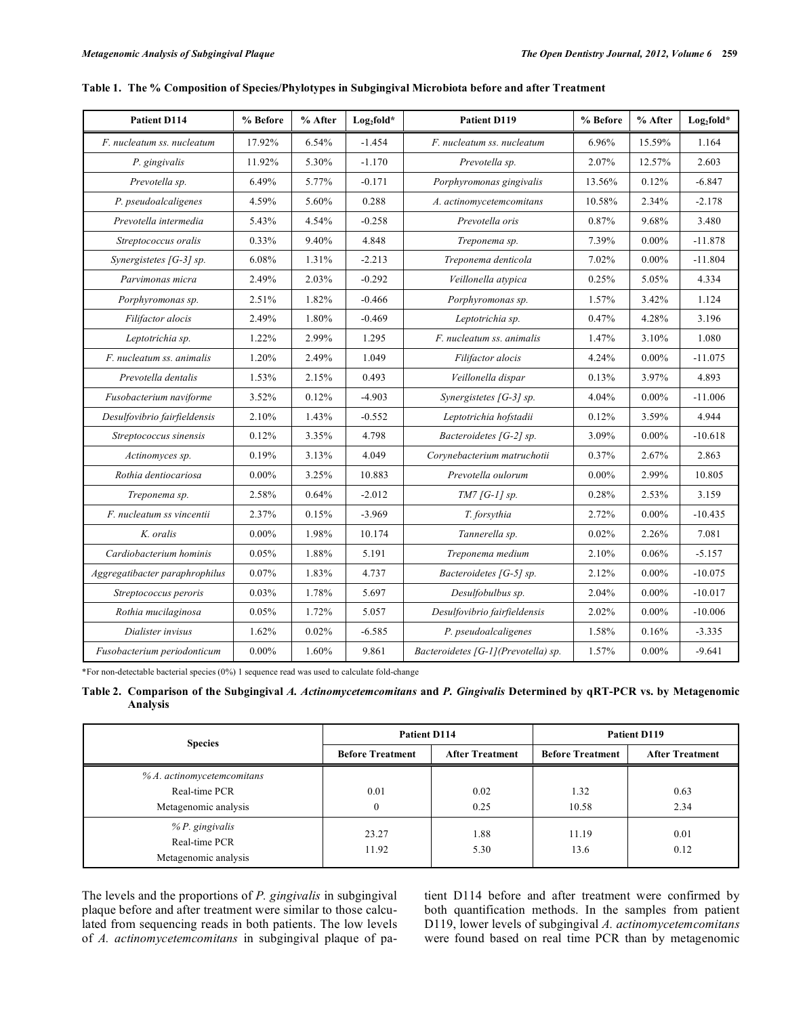| Patient D114                   | % Before | % After | Log <sub>2fold</sub> * | Patient D119                        | % Before | % After  | $Log_2fold*$ |
|--------------------------------|----------|---------|------------------------|-------------------------------------|----------|----------|--------------|
| F. nucleatum ss. nucleatum     | 17.92%   | 6.54%   | $-1.454$               | F. nucleatum ss. nucleatum          | 6.96%    | 15.59%   | 1.164        |
| P. gingivalis                  | 11.92%   | 5.30%   | $-1.170$               | Prevotella sp.                      | 2.07%    | 12.57%   | 2.603        |
| Prevotella sp.                 | 6.49%    | 5.77%   | $-0.171$               | Porphyromonas gingivalis            | 13.56%   | 0.12%    | $-6.847$     |
| P. pseudoalcaligenes           | 4.59%    | 5.60%   | 0.288                  | A. actinomycetemcomitans            | 10.58%   | 2.34%    | $-2.178$     |
| Prevotella intermedia          | 5.43%    | 4.54%   | $-0.258$               | Prevotella oris                     | 0.87%    | 9.68%    | 3.480        |
| Streptococcus oralis           | 0.33%    | 9.40%   | 4.848                  | Treponema sp.                       | 7.39%    | $0.00\%$ | $-11.878$    |
| Synergistetes [G-3] sp.        | 6.08%    | 1.31%   | $-2.213$               | Treponema denticola                 | 7.02%    | $0.00\%$ | $-11.804$    |
| Parvimonas micra               | 2.49%    | 2.03%   | $-0.292$               | Veillonella atypica                 | 0.25%    | 5.05%    | 4.334        |
| Porphyromonas sp.              | 2.51%    | 1.82%   | $-0.466$               | Porphyromonas sp.                   | 1.57%    | 3.42%    | 1.124        |
| Filifactor alocis              | 2.49%    | 1.80%   | $-0.469$               | Leptotrichia sp.                    | 0.47%    | 4.28%    | 3.196        |
| Leptotrichia sp.               | 1.22%    | 2.99%   | 1.295                  | F. nucleatum ss. animalis           | 1.47%    | 3.10%    | 1.080        |
| F. nucleatum ss. animalis      | 1.20%    | 2.49%   | 1.049                  | Filifactor alocis                   | 4.24%    | $0.00\%$ | $-11.075$    |
| Prevotella dentalis            | 1.53%    | 2.15%   | 0.493                  | Veillonella dispar                  | 0.13%    | 3.97%    | 4.893        |
| Fusobacterium naviforme        | 3.52%    | 0.12%   | $-4.903$               | Synergistetes [G-3] sp.             | 4.04%    | $0.00\%$ | $-11.006$    |
| Desulfovibrio fairfieldensis   | 2.10%    | 1.43%   | $-0.552$               | Leptotrichia hofstadii              | 0.12%    | 3.59%    | 4.944        |
| Streptococcus sinensis         | 0.12%    | 3.35%   | 4.798                  | Bacteroidetes [G-2] sp.             | 3.09%    | $0.00\%$ | $-10.618$    |
| Actinomyces sp.                | 0.19%    | 3.13%   | 4.049                  | Corynebacterium matruchotii         | 0.37%    | 2.67%    | 2.863        |
| Rothia dentiocariosa           | $0.00\%$ | 3.25%   | 10.883                 | Prevotella oulorum                  | $0.00\%$ | 2.99%    | 10.805       |
| Treponema sp.                  | 2.58%    | 0.64%   | $-2.012$               | $TM7$ [G-1] sp.                     | 0.28%    | 2.53%    | 3.159        |
| F. nucleatum ss vincentii      | 2.37%    | 0.15%   | $-3.969$               | T. forsythia                        | 2.72%    | $0.00\%$ | $-10.435$    |
| K. oralis                      | $0.00\%$ | 1.98%   | 10.174                 | Tannerella sp.                      | 0.02%    | 2.26%    | 7.081        |
| Cardiobacterium hominis        | 0.05%    | 1.88%   | 5.191                  | Treponema medium                    | 2.10%    | 0.06%    | $-5.157$     |
| Aggregatibacter paraphrophilus | 0.07%    | 1.83%   | 4.737                  | Bacteroidetes [G-5] sp.             | 2.12%    | $0.00\%$ | $-10.075$    |
| Streptococcus peroris          | 0.03%    | 1.78%   | 5.697                  | Desulfobulbus sp.                   | 2.04%    | $0.00\%$ | $-10.017$    |
| Rothia mucilaginosa            | 0.05%    | 1.72%   | 5.057                  | Desulfovibrio fairfieldensis        | 2.02%    | $0.00\%$ | $-10.006$    |
| Dialister invisus              | 1.62%    | 0.02%   | $-6.585$               | P. pseudoalcaligenes                | 1.58%    | 0.16%    | $-3.335$     |
| Fusobacterium periodonticum    | $0.00\%$ | 1.60%   | 9.861                  | Bacteroidetes [G-1](Prevotella) sp. | 1.57%    | $0.00\%$ | $-9.641$     |

|  |  | Table 1. The % Composition of Species/Phylotypes in Subgingival Microbiota before and after Treatment |  |  |
|--|--|-------------------------------------------------------------------------------------------------------|--|--|
|  |  |                                                                                                       |  |  |

\*For non-detectable bacterial species (0%) 1 sequence read was used to calculate fold-change

|          | Table 2. Comparison of the Subgingival A. Actinomycetemcomitans and P. Gingivalis Determined by qRT-PCR vs. by Metagenomic |  |  |  |  |  |
|----------|----------------------------------------------------------------------------------------------------------------------------|--|--|--|--|--|
| Analysis |                                                                                                                            |  |  |  |  |  |

| <b>Species</b>                                             | <b>Patient D114</b>     |                        | Patient D119            |                        |  |
|------------------------------------------------------------|-------------------------|------------------------|-------------------------|------------------------|--|
|                                                            | <b>Before Treatment</b> | <b>After Treatment</b> | <b>Before Treatment</b> | <b>After Treatment</b> |  |
| $% A$ . actinomycetemcomitans                              |                         |                        |                         |                        |  |
| Real-time PCR                                              | 0.01                    | 0.02                   | 1.32                    | 0.63                   |  |
| Metagenomic analysis                                       | 0                       | 0.25                   | 10.58                   | 2.34                   |  |
| $%P$ . gingivalis<br>Real-time PCR<br>Metagenomic analysis | 23.27<br>11.92          | 1.88<br>5.30           | 11.19<br>13.6           | 0.01<br>0.12           |  |

The levels and the proportions of *P. gingivalis* in subgingival plaque before and after treatment were similar to those calculated from sequencing reads in both patients. The low levels of *A. actinomycetemcomitans* in subgingival plaque of patient D114 before and after treatment were confirmed by both quantification methods. In the samples from patient D119, lower levels of subgingival *A. actinomycetemcomitans* were found based on real time PCR than by metagenomic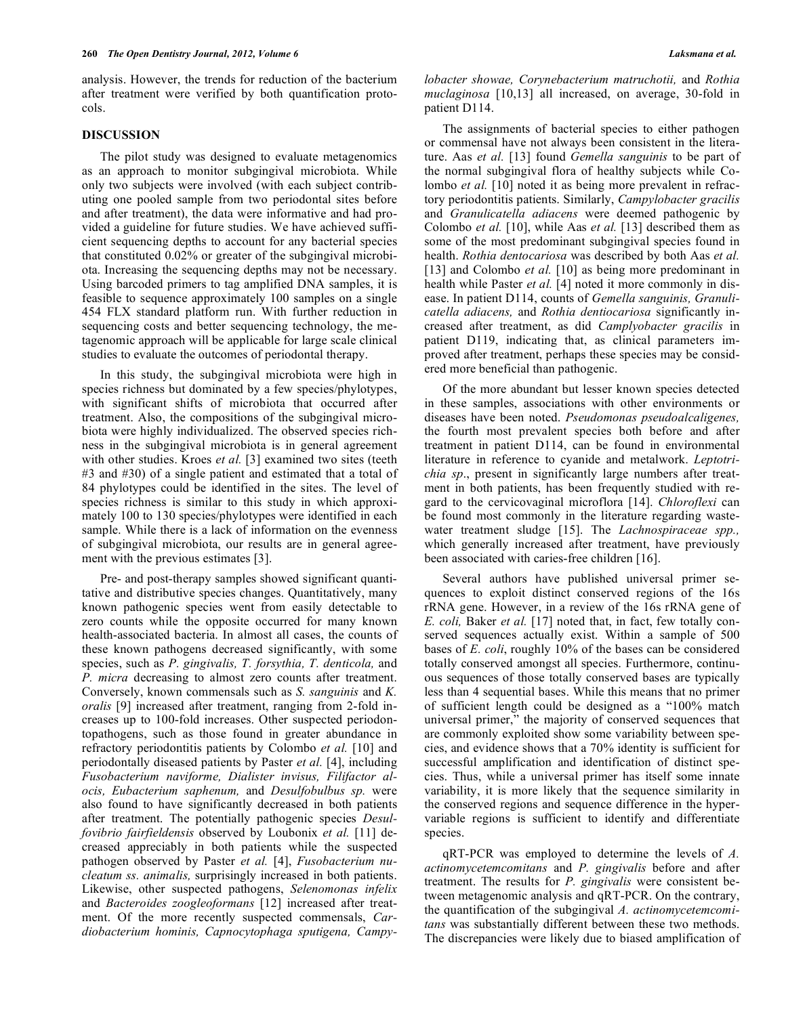analysis. However, the trends for reduction of the bacterium after treatment were verified by both quantification protocols.

### **DISCUSSION**

The pilot study was designed to evaluate metagenomics as an approach to monitor subgingival microbiota. While only two subjects were involved (with each subject contributing one pooled sample from two periodontal sites before and after treatment), the data were informative and had provided a guideline for future studies. We have achieved sufficient sequencing depths to account for any bacterial species that constituted 0.02% or greater of the subgingival microbiota. Increasing the sequencing depths may not be necessary. Using barcoded primers to tag amplified DNA samples, it is feasible to sequence approximately 100 samples on a single 454 FLX standard platform run. With further reduction in sequencing costs and better sequencing technology, the metagenomic approach will be applicable for large scale clinical studies to evaluate the outcomes of periodontal therapy.

In this study, the subgingival microbiota were high in species richness but dominated by a few species/phylotypes, with significant shifts of microbiota that occurred after treatment. Also, the compositions of the subgingival microbiota were highly individualized. The observed species richness in the subgingival microbiota is in general agreement with other studies. Kroes *et al.* [3] examined two sites (teeth #3 and #30) of a single patient and estimated that a total of 84 phylotypes could be identified in the sites. The level of species richness is similar to this study in which approximately 100 to 130 species/phylotypes were identified in each sample. While there is a lack of information on the evenness of subgingival microbiota, our results are in general agreement with the previous estimates [3].

Pre- and post-therapy samples showed significant quantitative and distributive species changes. Quantitatively, many known pathogenic species went from easily detectable to zero counts while the opposite occurred for many known health-associated bacteria. In almost all cases, the counts of these known pathogens decreased significantly, with some species, such as *P. gingivalis, T. forsythia, T. denticola,* and *P. micra* decreasing to almost zero counts after treatment. Conversely, known commensals such as *S. sanguinis* and *K. oralis* [9] increased after treatment, ranging from 2-fold increases up to 100-fold increases. Other suspected periodontopathogens, such as those found in greater abundance in refractory periodontitis patients by Colombo *et al.* [10] and periodontally diseased patients by Paster *et al.* [4], including *Fusobacterium naviforme, Dialister invisus, Filifactor alocis, Eubacterium saphenum,* and *Desulfobulbus sp.* were also found to have significantly decreased in both patients after treatment. The potentially pathogenic species *Desulfovibrio fairfieldensis* observed by Loubonix *et al.* [11] decreased appreciably in both patients while the suspected pathogen observed by Paster *et al.* [4], *Fusobacterium nucleatum ss. animalis,* surprisingly increased in both patients. Likewise, other suspected pathogens, *Selenomonas infelix* and *Bacteroides zoogleoformans* [12] increased after treatment. Of the more recently suspected commensals, *Cardiobacterium hominis, Capnocytophaga sputigena, Campy-* *lobacter showae, Corynebacterium matruchotii,* and *Rothia muclaginosa* [10,13] all increased, on average, 30-fold in patient D114.

The assignments of bacterial species to either pathogen or commensal have not always been consistent in the literature. Aas *et al.* [13] found *Gemella sanguinis* to be part of the normal subgingival flora of healthy subjects while Colombo *et al.* [10] noted it as being more prevalent in refractory periodontitis patients. Similarly, *Campylobacter gracilis* and *Granulicatella adiacens* were deemed pathogenic by Colombo *et al.* [10], while Aas *et al.* [13] described them as some of the most predominant subgingival species found in health. *Rothia dentocariosa* was described by both Aas *et al.* [13] and Colombo *et al.* [10] as being more predominant in health while Paster *et al.* [4] noted it more commonly in disease. In patient D114, counts of *Gemella sanguinis, Granulicatella adiacens,* and *Rothia dentiocariosa* significantly increased after treatment, as did *Camplyobacter gracilis* in patient D119, indicating that, as clinical parameters improved after treatment, perhaps these species may be considered more beneficial than pathogenic.

Of the more abundant but lesser known species detected in these samples, associations with other environments or diseases have been noted. *Pseudomonas pseudoalcaligenes,* the fourth most prevalent species both before and after treatment in patient D114, can be found in environmental literature in reference to cyanide and metalwork. *Leptotrichia sp*., present in significantly large numbers after treatment in both patients, has been frequently studied with regard to the cervicovaginal microflora [14]. *Chloroflexi* can be found most commonly in the literature regarding wastewater treatment sludge [15]. The *Lachnospiraceae spp.,* which generally increased after treatment, have previously been associated with caries-free children [16].

Several authors have published universal primer sequences to exploit distinct conserved regions of the 16s rRNA gene. However, in a review of the 16s rRNA gene of *E. coli,* Baker *et al.* [17] noted that, in fact, few totally conserved sequences actually exist. Within a sample of 500 bases of *E. coli*, roughly 10% of the bases can be considered totally conserved amongst all species. Furthermore, continuous sequences of those totally conserved bases are typically less than 4 sequential bases. While this means that no primer of sufficient length could be designed as a "100% match universal primer," the majority of conserved sequences that are commonly exploited show some variability between species, and evidence shows that a 70% identity is sufficient for successful amplification and identification of distinct species. Thus, while a universal primer has itself some innate variability, it is more likely that the sequence similarity in the conserved regions and sequence difference in the hypervariable regions is sufficient to identify and differentiate species.

qRT-PCR was employed to determine the levels of *A. actinomycetemcomitans* and *P. gingivalis* before and after treatment. The results for *P. gingivalis* were consistent between metagenomic analysis and qRT-PCR. On the contrary, the quantification of the subgingival *A. actinomycetemcomitans* was substantially different between these two methods. The discrepancies were likely due to biased amplification of